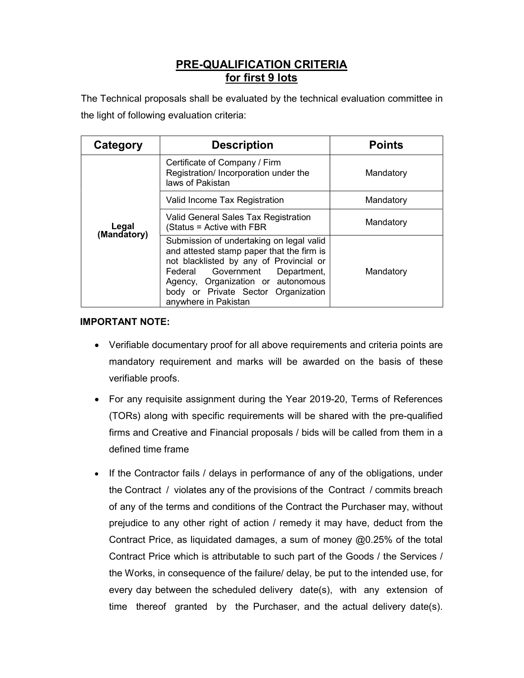## PRE-QUALIFICATION CRITERIA for first 9 lots

The Technical proposals shall be evaluated by the technical evaluation committee in the light of following evaluation criteria:

| Category             | <b>Description</b>                                                                                                                                                                                                                                                      | <b>Points</b> |
|----------------------|-------------------------------------------------------------------------------------------------------------------------------------------------------------------------------------------------------------------------------------------------------------------------|---------------|
| Legal<br>(Mandatory) | Certificate of Company / Firm<br>Registration/ Incorporation under the<br>laws of Pakistan                                                                                                                                                                              | Mandatory     |
|                      | Valid Income Tax Registration                                                                                                                                                                                                                                           | Mandatory     |
|                      | Valid General Sales Tax Registration<br>(Status = Active with FBR                                                                                                                                                                                                       | Mandatory     |
|                      | Submission of undertaking on legal valid<br>and attested stamp paper that the firm is<br>not blacklisted by any of Provincial or<br>Federal Government Department,<br>Agency, Organization or autonomous<br>body or Private Sector Organization<br>anywhere in Pakistan | Mandatory     |

## IMPORTANT NOTE:

- Verifiable documentary proof for all above requirements and criteria points are mandatory requirement and marks will be awarded on the basis of these verifiable proofs.
- For any requisite assignment during the Year 2019-20, Terms of References (TORs) along with specific requirements will be shared with the pre-qualified firms and Creative and Financial proposals / bids will be called from them in a defined time frame
- If the Contractor fails / delays in performance of any of the obligations, under the Contract / violates any of the provisions of the Contract / commits breach of any of the terms and conditions of the Contract the Purchaser may, without prejudice to any other right of action / remedy it may have, deduct from the Contract Price, as liquidated damages, a sum of money @0.25% of the total Contract Price which is attributable to such part of the Goods / the Services / the Works, in consequence of the failure/ delay, be put to the intended use, for every day between the scheduled delivery date(s), with any extension of time thereof granted by the Purchaser, and the actual delivery date(s).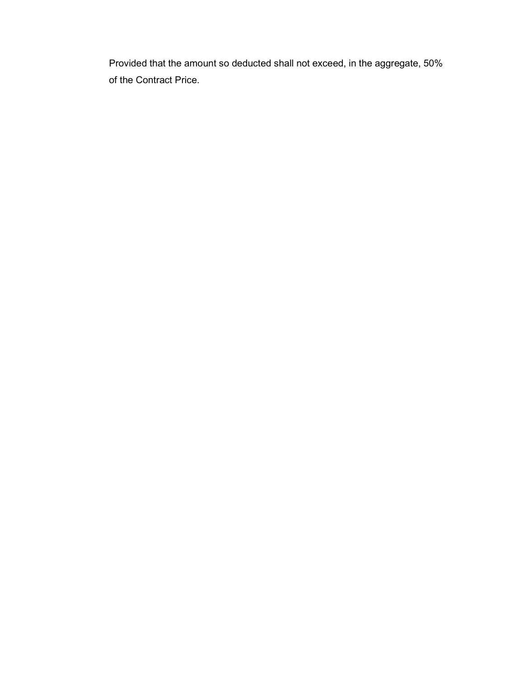Provided that the amount so deducted shall not exceed, in the aggregate, 50% of the Contract Price.